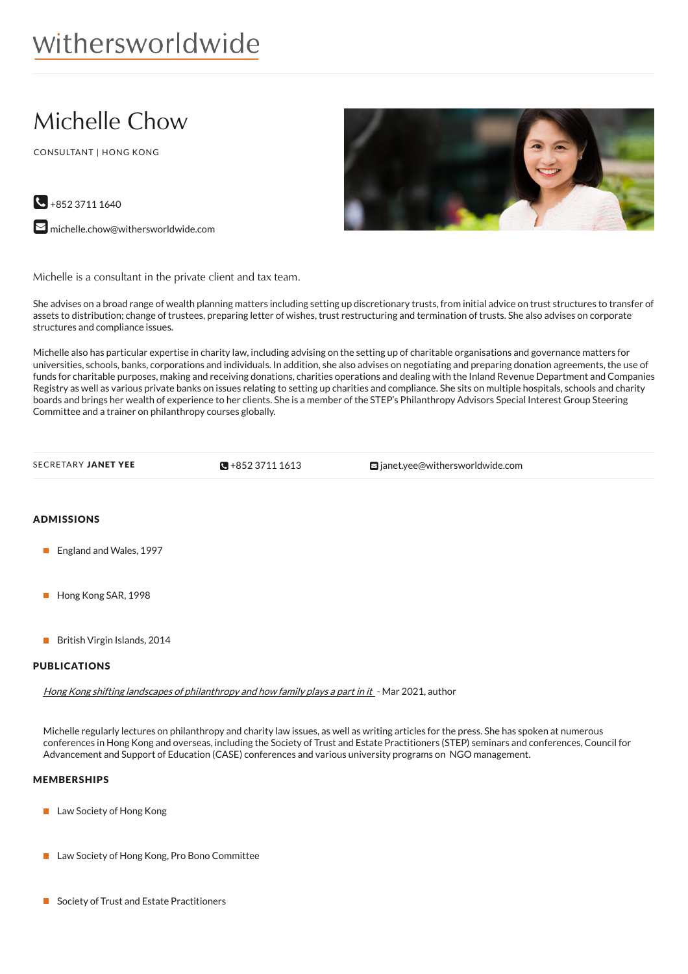# Michelle Chow

CONSULTANT | HONG KONG



 $\bigodot$  +852 3711 1640

**M** [michelle.chow@withersworldwide.com](mailto:michelle.chow@withersworldwide.com?subject=Website Enquiry - Profile Page)

Michelle is a consultant in the private client and tax team.

She advises on a broad range of wealth planning matters including setting up discretionary trusts, from initial advice on trust structures to transfer of assets to distribution; change of trustees, preparing letter of wishes, trust restructuring and termination of trusts. She also advises on corporate structures and compliance issues.

Michelle also has particular expertise in charity law, including advising on the setting up of charitable organisations and governance matters for universities, schools, banks, corporations and individuals. In addition, she also advises on negotiating and preparing donation agreements, the use of funds for charitable purposes, making and receiving donations, charities operations and dealing with the Inland Revenue Department and Companies Registry as well as various private banks on issues relating to setting up charities and compliance. She sits on multiple hospitals, schools and charity boards and brings her wealth of experience to her clients. She is a member of the STEP's Philanthropy Advisors Special Interest Group Steering Committee and a trainer on philanthropy courses globally.

 $\mathbb{R}$ +85237111613

SECRETARY JANET YEE **[+852](tel:+852 3711 1613) 3711 1613** anet.yee@withersworldwide.com

# ADMISSIONS

- **England and Wales, 1997**
- Hong Kong SAR, 1998
- British Virgin Islands, 2014

## PUBLICATIONS

Hong Kong shifting landscapes of [philanthropy](https://www.withersworldwide.com/en-gb/hong-kong-shifting-landscapes-of-philanthropy-and-how-family-plays-a-part-in-it) and how family plays <sup>a</sup> part in it - Mar 2021, author

Michelle regularly lectures on philanthropy and charity law issues, as well as writing articles for the press. She has spoken at numerous conferences in Hong Kong and overseas, including the Society of Trust and Estate Practitioners (STEP) seminars and conferences, Council for Advancement and Support of Education (CASE) conferences and various university programs on NGO management.

# MEMBERSHIPS

- **Law Society of Hong Kong**
- Law Society of Hong Kong, Pro Bono Committee
- Society of Trust and Estate Practitioners